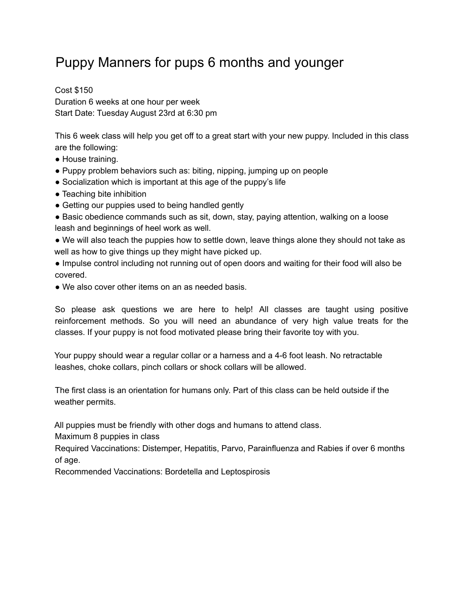## Puppy Manners for pups 6 months and younger

Cost \$150 Duration 6 weeks at one hour per week Start Date: Tuesday August 23rd at 6:30 pm

This 6 week class will help you get off to a great start with your new puppy. Included in this class are the following:

- House training.
- Puppy problem behaviors such as: biting, nipping, jumping up on people
- Socialization which is important at this age of the puppy's life
- Teaching bite inhibition
- Getting our puppies used to being handled gently
- Basic obedience commands such as sit, down, stay, paying attention, walking on a loose leash and beginnings of heel work as well.
- We will also teach the puppies how to settle down, leave things alone they should not take as well as how to give things up they might have picked up.
- Impulse control including not running out of open doors and waiting for their food will also be covered.
- We also cover other items on an as needed basis.

So please ask questions we are here to help! All classes are taught using positive reinforcement methods. So you will need an abundance of very high value treats for the classes. If your puppy is not food motivated please bring their favorite toy with you.

Your puppy should wear a regular collar or a harness and a 4-6 foot leash. No retractable leashes, choke collars, pinch collars or shock collars will be allowed.

The first class is an orientation for humans only. Part of this class can be held outside if the weather permits.

All puppies must be friendly with other dogs and humans to attend class.

Maximum 8 puppies in class

Required Vaccinations: Distemper, Hepatitis, Parvo, Parainfluenza and Rabies if over 6 months of age.

Recommended Vaccinations: Bordetella and Leptospirosis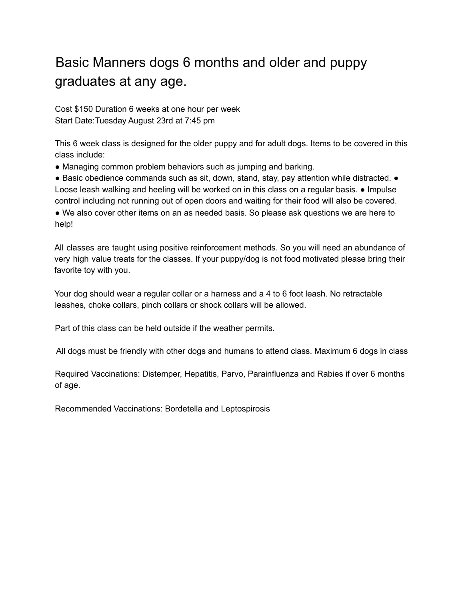## Basic Manners dogs 6 months and older and puppy graduates at any age.

Cost \$150 Duration 6 weeks at one hour per week Start Date:Tuesday August 23rd at 7:45 pm

This 6 week class is designed for the older puppy and for adult dogs. Items to be covered in this class include:

● Managing common problem behaviors such as jumping and barking.

● Basic obedience commands such as sit, down, stand, stay, pay attention while distracted. ● Loose leash walking and heeling will be worked on in this class on a regular basis. ● Impulse control including not running out of open doors and waiting for their food will also be covered. ● We also cover other items on an as needed basis. So please ask questions we are here to help!

All classes are taught using positive reinforcement methods. So you will need an abundance of very high value treats for the classes. If your puppy/dog is not food motivated please bring their favorite toy with you.

Your dog should wear a regular collar or a harness and a 4 to 6 foot leash. No retractable leashes, choke collars, pinch collars or shock collars will be allowed.

Part of this class can be held outside if the weather permits.

All dogs must be friendly with other dogs and humans to attend class. Maximum 6 dogs in class

Required Vaccinations: Distemper, Hepatitis, Parvo, Parainfluenza and Rabies if over 6 months of age.

Recommended Vaccinations: Bordetella and Leptospirosis